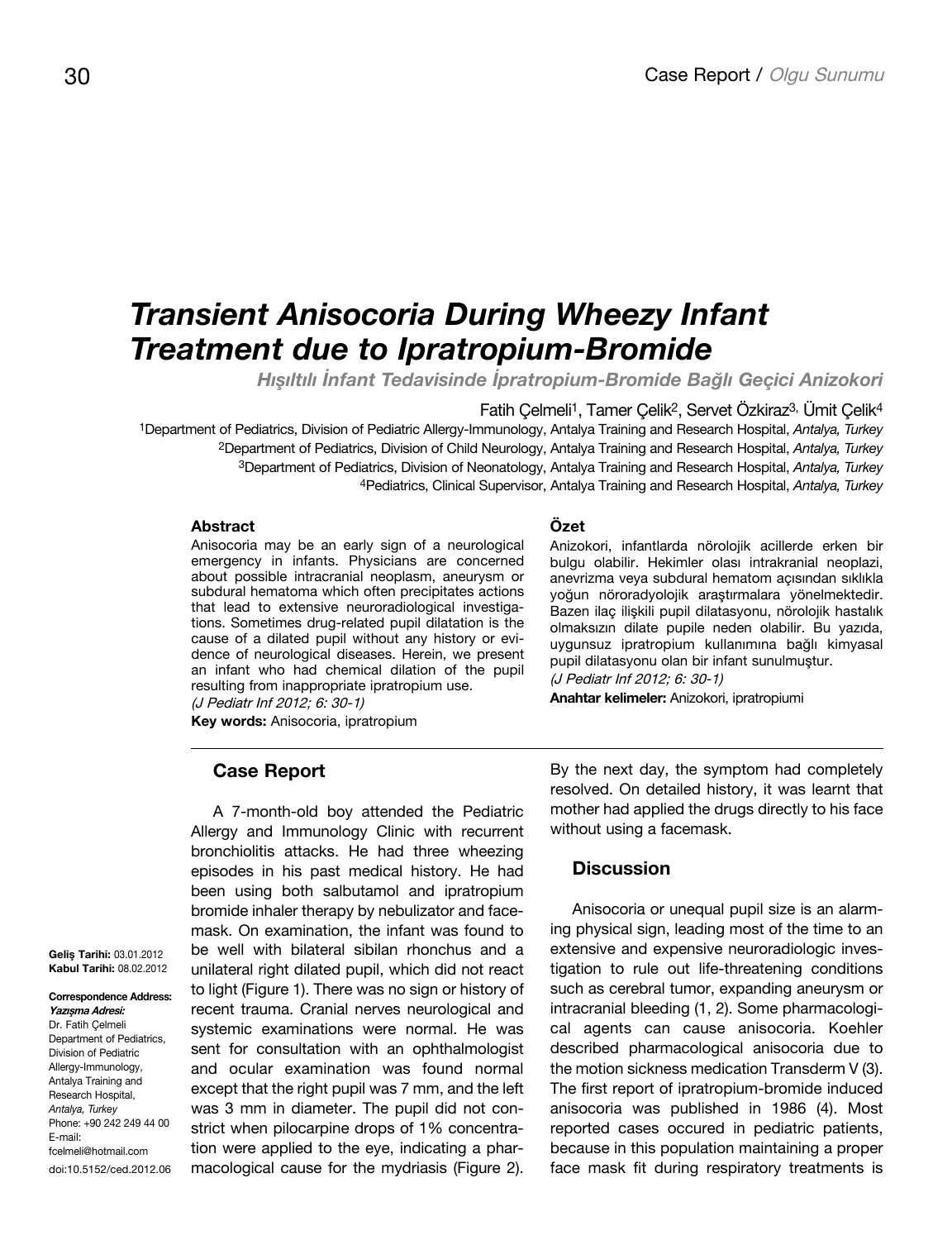# *Transient Anisocoria During Wheezy Infant Treatment due to Ipratropium-Bromide*

*Hışıltılı İnfant Tedavisinde İpratropium-Bromide Bağlı Geçici Anizokori*

Fatih Çelmeli1, Tamer Çelik2, Servet Özkiraz3, Ümit Çelik4

1Department of Pediatrics, Division of Pediatric Allergy-Immunology, Antalya Training and Research Hospital, *Antalya, Turkey* 2Department of Pediatrics, Division of Child Neurology, Antalya Training and Research Hospital, *Antalya, Turkey* 3Department of Pediatrics, Division of Neonatology, Antalya Training and Research Hospital, *Antalya, Turkey* 4Pediatrics, Clinical Supervisor, Antalya Training and Research Hospital, *Antalya, Turkey*

### **Abstract**

Anisocoria may be an early sign of a neurological emergency in infants. Physicians are concerned about possible intracranial neoplasm, aneurysm or subdural hematoma which often precipitates actions that lead to extensive neuroradiological investigations. Sometimes drug-related pupil dilatation is the cause of a dilated pupil without any history or evidence of neurological diseases. Herein, we present an infant who had chemical dilation of the pupil resulting from inappropriate ipratropium use.

(J Pediatr Inf 2012; 6: 30-1) **Key words:** Anisocoria, ipratropium

## **Case Report**

A 7-month-old boy attended the Pediatric Allergy and Immunology Clinic with recurrent bronchiolitis attacks. He had three wheezing episodes in his past medical history. He had been using both salbutamol and ipratropium bromide inhaler therapy by nebulizator and facemask. On examination, the infant was found to be well with bilateral sibilan rhonchus and a unilateral right dilated pupil, which did not react to light (Figure 1). There was no sign or history of recent trauma. Cranial nerves neurological and systemic examinations were normal. He was sent for consultation with an ophthalmologist and ocular examination was found normal except that the right pupil was 7 mm, and the left was 3 mm in diameter. The pupil did not constrict when pilocarpine drops of 1% concentration were applied to the eye, indicating a pharmacological cause for the mydriasis (Figure 2).

**Özet** 

Anizokori, infantlarda nörolojik acillerde erken bir bulgu olabilir. Hekimler olası intrakranial neoplazi, anevrizma veya subdural hematom açısından sıklıkla yoğun nöroradyolojik araştırmalara yönelmektedir. Bazen ilaç ilişkili pupil dilatasyonu, nörolojik hastalık olmaksızın dilate pupile neden olabilir. Bu yazıda, uygunsuz ipratropium kullanımına bağlı kimyasal pupil dilatasyonu olan bir infant sunulmuştur. (J Pediatr Inf 2012; 6: 30-1)

**Anahtar kelimeler:** Anizokori, ipratropiumi

By the next day, the symptom had completely resolved. On detailed history, it was learnt that mother had applied the drugs directly to his face without using a facemask.

### **Discussion**

Anisocoria or unequal pupil size is an alarming physical sign, leading most of the time to an extensive and expensive neuroradiologic investigation to rule out life-threatening conditions such as cerebral tumor, expanding aneurysm or intracranial bleeding (1, 2). Some pharmacological agents can cause anisocoria. Koehler described pharmacological anisocoria due to the motion sickness medication Transderm V (3). The first report of ipratropium-bromide induced anisocoria was published in 1986 (4). Most reported cases occured in pediatric patients, because in this population maintaining a proper face mask fit during respiratory treatments is

**Geliş Tarihi:** 03.01.2012 **Kabul Tarihi:** 08.02.2012

**Correspondence Address: Yazışma Adresi:** Dr. Fatih Çelmeli Department of Pediatrics, Division of Pediatric Allergy-Immunology, Antalya Training and Research Hospital, *Antalya, Turkey* Phone: +90 242 249 44 00 E-mail: fcelmeli@hotmail.com

doi:10.5152/ced.2012.06